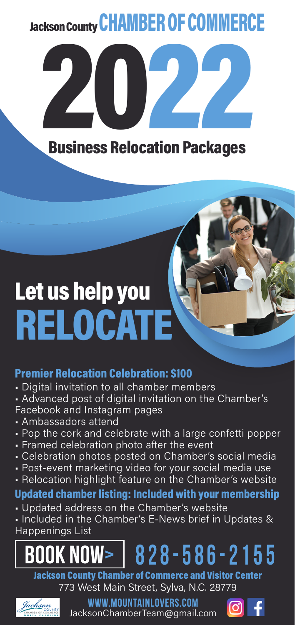## Jackson County CHAMBER OF COMMERCE



# Let us help you **RELOCATE**

## Premier Relocation Celebration: \$100

- Digital invitation to all chamber members
- Advanced post of digital invitation on the Chamber's Facebook and Instagram pages
- Ambassadors attend
- Pop the cork and celebrate with a large confetti popper
- Framed celebration photo after the event
- Celebration photos posted on Chamber's social media
- Post-event marketing video for your social media use
- Relocation highlight feature on the Chamber's website

## Updated chamber listing: Included with your membership

• Updated address on the Chamber's website

• Included in the Chamber's E-News brief in Updates & Happenings List



Jackson County Chamber of Commerce and Visitor Center 773 West Main Street, Sylva, N.C. 28779



**www.MountainLovers.com**  JacksonChamberTeam@gmail.com